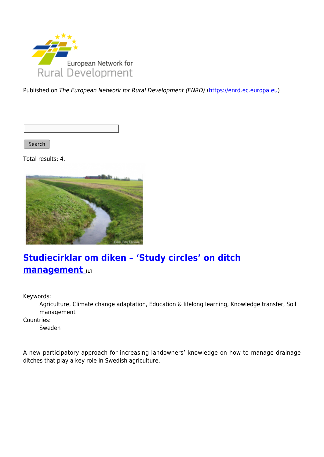

Published on The European Network for Rural Development (ENRD) [\(https://enrd.ec.europa.eu](https://enrd.ec.europa.eu))

Search |

Total results: 4.



# **[Studiecirklar om diken – 'Study circles' on ditch](https://enrd.ec.europa.eu/projects-practice/studiecirklar-om-diken-study-circles-ditch-management_en) [management](https://enrd.ec.europa.eu/projects-practice/studiecirklar-om-diken-study-circles-ditch-management_en) [1]**

Keywords:

Agriculture, Climate change adaptation, Education & lifelong learning, Knowledge transfer, Soil management

Countries:

Sweden

A new participatory approach for increasing landowners' knowledge on how to manage drainage ditches that play a key role in Swedish agriculture.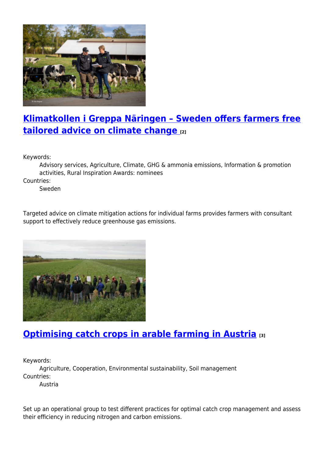

## **[Klimatkollen i Greppa Näringen – Sweden offers farmers free](https://enrd.ec.europa.eu/projects-practice/klimatkollen-i-greppa-naringen-sweden-offers-farmers-free-tailored-advice-climate_en) [tailored advice on climate change](https://enrd.ec.europa.eu/projects-practice/klimatkollen-i-greppa-naringen-sweden-offers-farmers-free-tailored-advice-climate_en) [2]**

Keywords:

Advisory services, Agriculture, Climate, GHG & ammonia emissions, Information & promotion activities, Rural Inspiration Awards: nominees

Countries:

Sweden

Targeted advice on climate mitigation actions for individual farms provides farmers with consultant support to effectively reduce greenhouse gas emissions.



## **[Optimising catch crops in arable farming in Austria](https://enrd.ec.europa.eu/projects-practice/optimising-catch-crops-arable-farming-austria_en) [3]**

Keywords:

Agriculture, Cooperation, Environmental sustainability, Soil management Countries:

Austria

Set up an operational group to test different practices for optimal catch crop management and assess their efficiency in reducing nitrogen and carbon emissions.